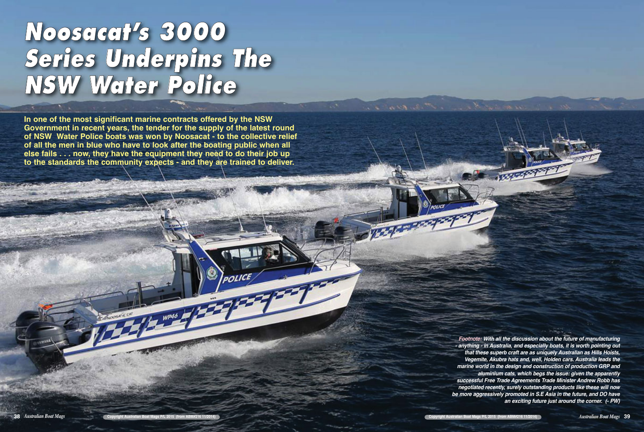## **Noosacat's 3000 Series Underpins The NSW Water Police**

**In one of the most significant marine contracts offered by the NSW Government in recent years, the tender for the supply of the latest round of NSW Water Police boats was won by Noosacat - to the collective relief of all the men in blue who have to look after the boating public when all else fails . . . now, they have the equipment they need to do their job up to the standards the community expects - and they are trained to deliver.** 

 $W<sup>p46</sup>$ 

*Footnote: With all the discussion about the future of manufacturing - anything - in Australia, and especially boats, it is worth pointing out that these superb craft are as uniquely Australian as Hills Hoists, Vegemite, Akubra hats and, well, Holden cars. Australia leads the marine world in the design and construction of production GRP and aluminium cats, which begs the issue: given the apparently successful Free Trade Agreements Trade Minister Andrew Robb has negotiated recently, surely outstanding products like these will now be more aggressively promoted in S.E Asia in the future, and DO have an exciting future just around the corner. (- PW)*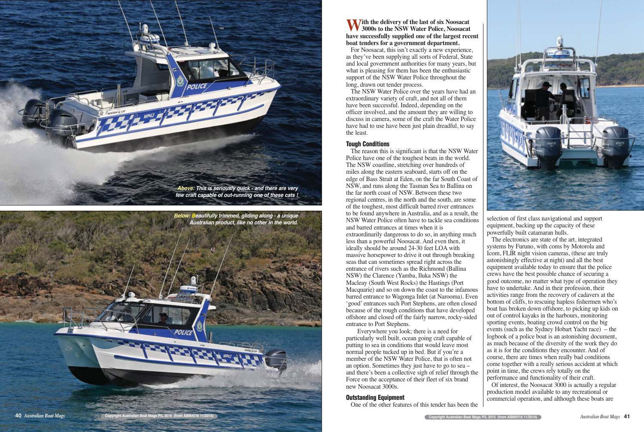**With the delivery of the last of six Noosacat 3000s to the NSW Water Police, Noosacat have successfully supplied one of the largest recent boat tenders for a government department.** 

For Noosacat, this isn't exactly a new experience, as they've been supplying all sorts of Federal, State and local government authorities for many years, but what is pleasing for them has been the enthusiastic support of the NSW Water Police throughout the long, drawn out tender process.

The NSW Water Police over the years have had an extraordinary variety of craft, and not all of them have been successful. Indeed, depending on the officer involved, and the amount they are willing to discuss in camera, some of the craft the Water Police have had to use have been just plain dreadful, to say the least.

## **Tough Conditions**

The reason this is significant is that the NSW Water Police have one of the toughest beats in the world. The NSW coastline, stretching over hundreds of miles along the eastern seaboard, starts off on the edge of Bass Strait at Eden, on the far South Coast of NSW, and runs along the Tasman Sea to Ballina on the far north coast of NSW. Between these two regional centres, in the north and the south, are some of the toughest, most difficult barred river entrances to be found anywhere in Australia, and as a result, the NSW Water Police often have to tackle sea conditions and barred entrances at times when it is extraordinarily dangerous to do so, in anything much less than a powerful Noosacat. And even then, it ideally should be around 24-30 feet LOA with massive horsepower to drive it out through breaking seas that can sometimes spread right across the entrance of rivers such as the Richmond (Ballina NSW) the Clarence (Yamba, Iluka NSW) the Macleay (South West Rocks) the Hastings (Port Macquarie) and so on down the coast to the infamous barred entrance to Wagonga Inlet (at Narooma). Even 'good' entrances such Port Stephens, are often closed because of the rough conditions that have developed offshore and closed off the fairly narrow, rocky-sided entrance to Port Stephens.

Everywhere you look; there is a need for particularly well built, ocean going craft capable of putting to sea in conditions that would leave most normal people tucked up in bed. But if you're a member of the NSW Water Police, that is often not an option. Sometimes they just have to go to sea – and there's been a collective sigh of relief through the Force on the acceptance of their fleet of six brand new Noosacat 3000s.

## **Outstanding Equipment**

One of the other features of this tender has been the



selection of first class navigational and support equipment, backing up the capacity of these powerfully built catamaran hulls.

The electronics are state of the art, integrated systems by Furuno, with coms by Motorola and Icom, FLIR night vision cameras, (these are truly astonishingly effective at night) and all the best equipment available today to ensure that the police crews have the best possible chance of securing a good outcome, no matter what type of operation they have to undertake. And in their profession, their activities range from the recovery of cadavers at the bottom of cliffs, to rescuing hapless fishermen who's boat has broken down offshore, to picking up kids on out of control kayaks in the harbours, monitoring sporting events, boating crowd control on the big events (such as the Sydney Hobart Yacht race) – the logbook of a police boat is an astonishing document, as much because of the diversity of the work they do as it is for the conditions they encounter. And of course, there are times when really bad conditions come together with a really serious accident at which point in time, the crews rely totally on the performance and functionality of their craft. Of interest, the Noosacat 3000 is actually a regular production model available to any recreational or commercial operation, and although these boats are



**40** *Australian Boat Mags* **Copyright Australian Boat Mags P/L 2015** (from ABM#216 11/2014) **Copyright Australian Boat Mags P/L 2015** (from ABM#216 11/2014)